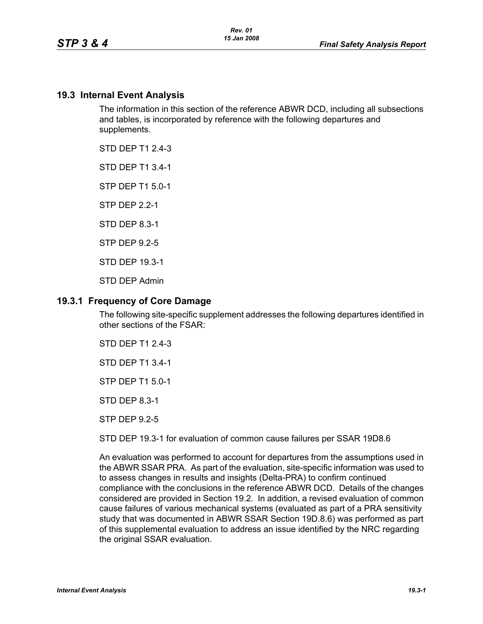#### **19.3 Internal Event Analysis**

The information in this section of the reference ABWR DCD, including all subsections and tables, is incorporated by reference with the following departures and supplements.

STD DEP T1 2.4-3

STD DEP T1 3.4-1

STP DEP T1 5.0-1

STP DEP 2.2-1

STD DEP 8.3-1

STP DEP 9.2-5

STD DEP 19.3-1

STD DEP Admin

#### **19.3.1 Frequency of Core Damage**

The following site-specific supplement addresses the following departures identified in other sections of the FSAR:

STD DEP T1 2.4-3

STD DEP T1 3.4-1

STP DEP T1 5.0-1

STD DEP 8.3-1

STP DEP 9.2-5

STD DEP 19.3-1 for evaluation of common cause failures per SSAR 19D8.6

An evaluation was performed to account for departures from the assumptions used in the ABWR SSAR PRA. As part of the evaluation, site-specific information was used to to assess changes in results and insights (Delta-PRA) to confirm continued compliance with the conclusions in the reference ABWR DCD. Details of the changes considered are provided in Section 19.2. In addition, a revised evaluation of common cause failures of various mechanical systems (evaluated as part of a PRA sensitivity study that was documented in ABWR SSAR Section 19D.8.6) was performed as part of this supplemental evaluation to address an issue identified by the NRC regarding the original SSAR evaluation.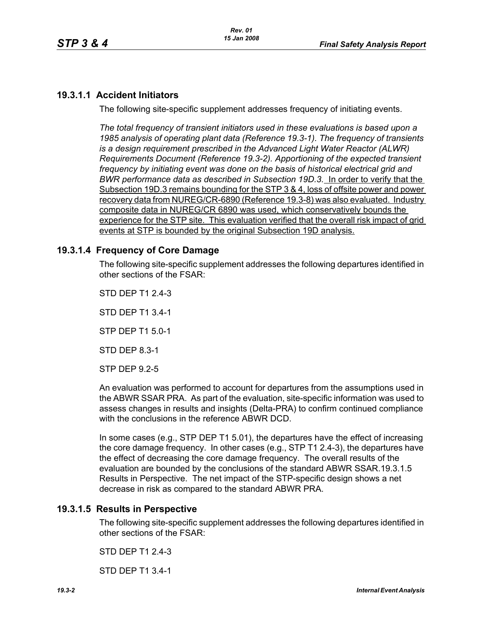# **19.3.1.1 Accident Initiators**

The following site-specific supplement addresses frequency of initiating events.

*The total frequency of transient initiators used in these evaluations is based upon a 1985 analysis of operating plant data (Reference 19.3-1). The frequency of transients is a design requirement prescribed in the Advanced Light Water Reactor (ALWR) Requirements Document (Reference 19.3-2). Apportioning of the expected transient frequency by initiating event was done on the basis of historical electrical grid and BWR performance data as described in Subsection 19D.3.* In order to verify that the Subsection 19D.3 remains bounding for the STP 3 & 4, loss of offsite power and power recovery data from NUREG/CR-6890 (Reference 19.3-8) was also evaluated. Industry composite data in NUREG/CR 6890 was used, which conservatively bounds the experience for the STP site. This evaluation verified that the overall risk impact of grid events at STP is bounded by the original Subsection 19D analysis.

## **19.3.1.4 Frequency of Core Damage**

The following site-specific supplement addresses the following departures identified in other sections of the FSAR:

STD DEP T1 2.4-3

STD DEP T1 3.4-1

STP DEP T1 5.0-1

STD DEP 8.3-1

STP DEP 9.2-5

An evaluation was performed to account for departures from the assumptions used in the ABWR SSAR PRA. As part of the evaluation, site-specific information was used to assess changes in results and insights (Delta-PRA) to confirm continued compliance with the conclusions in the reference ABWR DCD.

In some cases (e.g., STP DEP T1 5.01), the departures have the effect of increasing the core damage frequency. In other cases (e.g., STP T1 2.4-3), the departures have the effect of decreasing the core damage frequency. The overall results of the evaluation are bounded by the conclusions of the standard ABWR SSAR.19.3.1.5 Results in Perspective. The net impact of the STP-specific design shows a net decrease in risk as compared to the standard ABWR PRA.

## **19.3.1.5 Results in Perspective**

The following site-specific supplement addresses the following departures identified in other sections of the FSAR:

STD DEP T1 2.4-3

STD DEP T1 3.4-1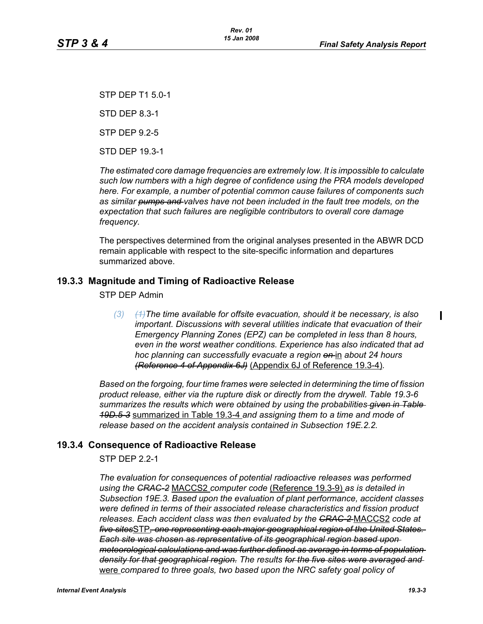STP DEP T1 5.0-1 STD DEP 8.3-1 STP DEP 9.2-5 STD DEP 19.3-1

*The estimated core damage frequencies are extremely low. It is impossible to calculate such low numbers with a high degree of confidence using the PRA models developed here. For example, a number of potential common cause failures of components such as similar pumps and valves have not been included in the fault tree models, on the expectation that such failures are negligible contributors to overall core damage frequency.*

The perspectives determined from the original analyses presented in the ABWR DCD remain applicable with respect to the site-specific information and departures summarized above.

## **19.3.3 Magnitude and Timing of Radioactive Release**

STP DEP Admin

*(3) (1)The time available for offsite evacuation, should it be necessary, is also important. Discussions with several utilities indicate that evacuation of their Emergency Planning Zones (EPZ) can be completed in less than 8 hours, even in the worst weather conditions. Experience has also indicated that ad hoc planning can successfully evacuate a region on* in *about 24 hours (Reference 4 of Appendix 6J)* (Appendix 6J of Reference 19.3-4)*.*

*Based on the forgoing, four time frames were selected in determining the time of fission product release, either via the rupture disk or directly from the drywell. Table 19.3-6 summarizes the results which were obtained by using the probabilities given in Table 19D.5-3* summarized in Table 19.3-4 *and assigning them to a time and mode of release based on the accident analysis contained in Subsection 19E.2.2.*

#### **19.3.4 Consequence of Radioactive Release**

STP DEP 2.2-1

*The evaluation for consequences of potential radioactive releases was performed using the CRAC-2* MACCS2 *computer code* (Reference 19.3-9) *as is detailed in Subsection 19E.3. Based upon the evaluation of plant performance, accident classes were defined in terms of their associated release characteristics and fission product releases. Each accident class was then evaluated by the CRAC-2* MACCS2 *code at five sites*STP*, one representing each major geographical region of the United States. Each site was chosen as representative of its geographical region based upon meteorological calculations and was further defined as average in terms of population density for that geographical region. The results for the five sites were averaged and*  were *compared to three goals, two based upon the NRC safety goal policy of* 

 $\mathbf I$